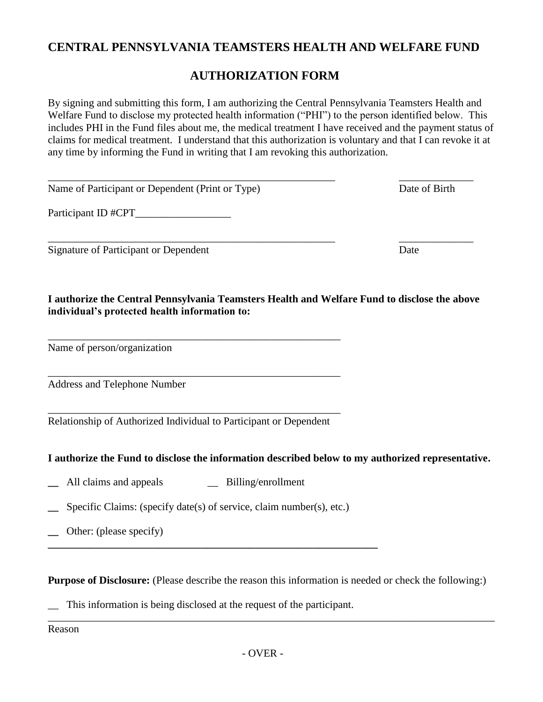# **CENTRAL PENNSYLVANIA TEAMSTERS HEALTH AND WELFARE FUND**

## **AUTHORIZATION FORM**

By signing and submitting this form, I am authorizing the Central Pennsylvania Teamsters Health and Welfare Fund to disclose my protected health information ("PHI") to the person identified below. This includes PHI in the Fund files about me, the medical treatment I have received and the payment status of claims for medical treatment. I understand that this authorization is voluntary and that I can revoke it at any time by informing the Fund in writing that I am revoking this authorization.

| Name of Participant or Dependent (Print or Type) | Date of Birth |
|--------------------------------------------------|---------------|
| Participant ID #CPT_                             |               |
| Signature of Participant or Dependent            | Date          |

**I authorize the Central Pennsylvania Teamsters Health and Welfare Fund to disclose the above individual's protected health information to:**

Name of person/organization

Address and Telephone Number

\_\_\_\_\_\_\_\_\_\_\_\_\_\_\_\_\_\_\_\_\_\_\_\_\_\_\_\_\_\_\_\_\_\_\_\_\_\_\_\_\_\_\_\_\_\_\_\_\_\_\_\_\_\_\_ Relationship of Authorized Individual to Participant or Dependent

\_\_\_\_\_\_\_\_\_\_\_\_\_\_\_\_\_\_\_\_\_\_\_\_\_\_\_\_\_\_\_\_\_\_\_\_\_\_\_\_\_\_\_\_\_\_\_\_\_\_\_\_\_\_\_

\_\_\_\_\_\_\_\_\_\_\_\_\_\_\_\_\_\_\_\_\_\_\_\_\_\_\_\_\_\_\_\_\_\_\_\_\_\_\_\_\_\_\_\_\_\_\_\_\_\_\_\_\_\_\_

### **I authorize the Fund to disclose the information described below to my authorized representative.**

- **\_\_** All claims and appeals \_\_ Billing/enrollment
- **\_\_** Specific Claims: (specify date(s) of service, claim number(s), etc.)

**\_\_\_\_\_\_\_\_\_\_\_\_\_\_\_\_\_\_\_\_\_\_\_\_\_\_\_\_\_\_\_\_\_\_\_\_\_\_\_\_\_\_\_\_\_\_\_\_\_\_\_\_\_\_\_\_\_\_\_\_\_\_**

**\_\_** Other: (please specify)

**Purpose of Disclosure:** (Please describe the reason this information is needed or check the following:)

\_\_\_\_\_\_\_\_\_\_\_\_\_\_\_\_\_\_\_\_\_\_\_\_\_\_\_\_\_\_\_\_\_\_\_\_\_\_\_\_\_\_\_\_\_\_\_\_\_\_\_\_\_\_\_\_\_\_\_\_\_\_\_\_\_\_\_\_\_\_\_\_\_\_\_\_\_\_\_\_\_\_\_\_

\_\_ This information is being disclosed at the request of the participant.

Reason